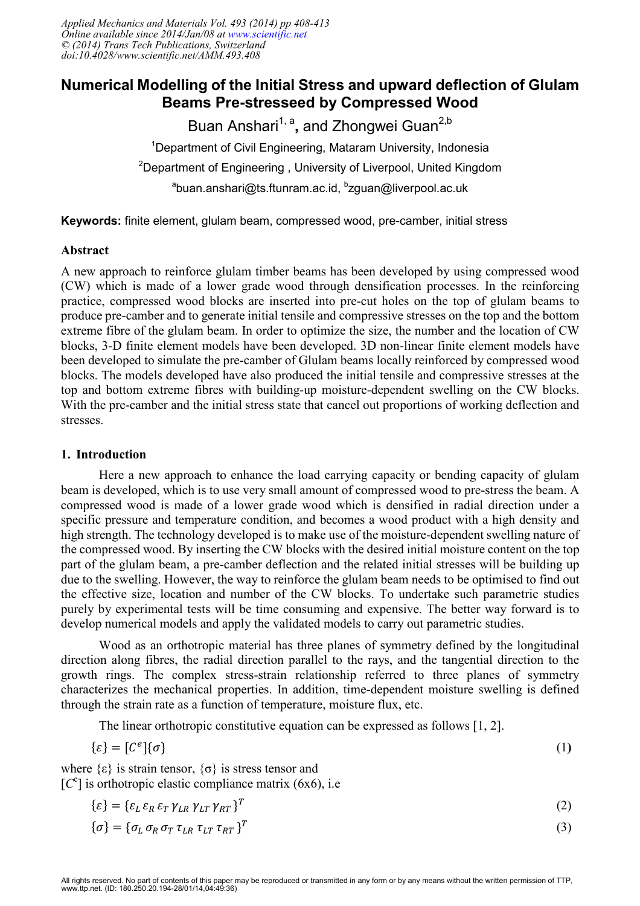*Applied Mechanics and Materials Vol. 493 (2014) pp 408-413 Online available since 2014/Jan/08 at [www.scientific.net](http://www.scientific.net) © (2014) Trans Tech Publications, Switzerland doi:10.4028/www.scientific.net/AMM.493.408*

# **Numerical Modelling of the Initial Stress and upward deflection of Glulam Beams Pre-stresseed by Compressed Wood**

Buan Anshari<sup>1, a</sup>, and Zhongwei Guan<sup>2,b</sup>

<sup>1</sup>Department of Civil Engineering, Mataram University, Indonesia <sup>2</sup>Department of Engineering, University of Liverpool, United Kingdom <sup>a</sup>buan.anshari@ts.ftunram.ac.id, <sup>b</sup>zguan@liverpool.ac.uk

**Keywords:** finite element, glulam beam, compressed wood, pre-camber, initial stress

### **Abstract**

A new approach to reinforce glulam timber beams has been developed by using compressed wood (CW) which is made of a lower grade wood through densification processes. In the reinforcing practice, compressed wood blocks are inserted into pre-cut holes on the top of glulam beams to produce pre-camber and to generate initial tensile and compressive stresses on the top and the bottom extreme fibre of the glulam beam. In order to optimize the size, the number and the location of CW blocks, 3-D finite element models have been developed. 3D non-linear finite element models have been developed to simulate the pre-camber of Glulam beams locally reinforced by compressed wood blocks. The models developed have also produced the initial tensile and compressive stresses at the top and bottom extreme fibres with building-up moisture-dependent swelling on the CW blocks. With the pre-camber and the initial stress state that cancel out proportions of working deflection and stresses.

### **1. Introduction**

Here a new approach to enhance the load carrying capacity or bending capacity of glulam beam is developed, which is to use very small amount of compressed wood to pre-stress the beam. A compressed wood is made of a lower grade wood which is densified in radial direction under a specific pressure and temperature condition, and becomes a wood product with a high density and high strength. The technology developed is to make use of the moisture-dependent swelling nature of the compressed wood. By inserting the CW blocks with the desired initial moisture content on the top part of the glulam beam, a pre-camber deflection and the related initial stresses will be building up due to the swelling. However, the way to reinforce the glulam beam needs to be optimised to find out the effective size, location and number of the CW blocks. To undertake such parametric studies purely by experimental tests will be time consuming and expensive. The better way forward is to develop numerical models and apply the validated models to carry out parametric studies.

Wood as an orthotropic material has three planes of symmetry defined by the longitudinal direction along fibres, the radial direction parallel to the rays, and the tangential direction to the growth rings. The complex stress-strain relationship referred to three planes of symmetry characterizes the mechanical properties. In addition, time-dependent moisture swelling is defined through the strain rate as a function of temperature, moisture flux, etc.

The linear orthotropic constitutive equation can be expressed as follows [1, 2].

$$
\{\varepsilon\} = [C^e]\{\sigma\} \tag{1}
$$

where  $\{\varepsilon\}$  is strain tensor,  $\{\sigma\}$  is stress tensor and  $[C^e]$  is orthotropic elastic compliance matrix (6x6), i.e

$$
\{\varepsilon\} = \{\varepsilon_L \varepsilon_R \varepsilon_T \gamma_{LR} \gamma_{LT} \gamma_{RT}\}^T
$$
\n(2)

$$
\{\sigma\} = \{\sigma_L \,\sigma_R \,\sigma_T \,\tau_{LR} \,\tau_{LT} \,\tau_{RT}\}^T
$$
\n(3)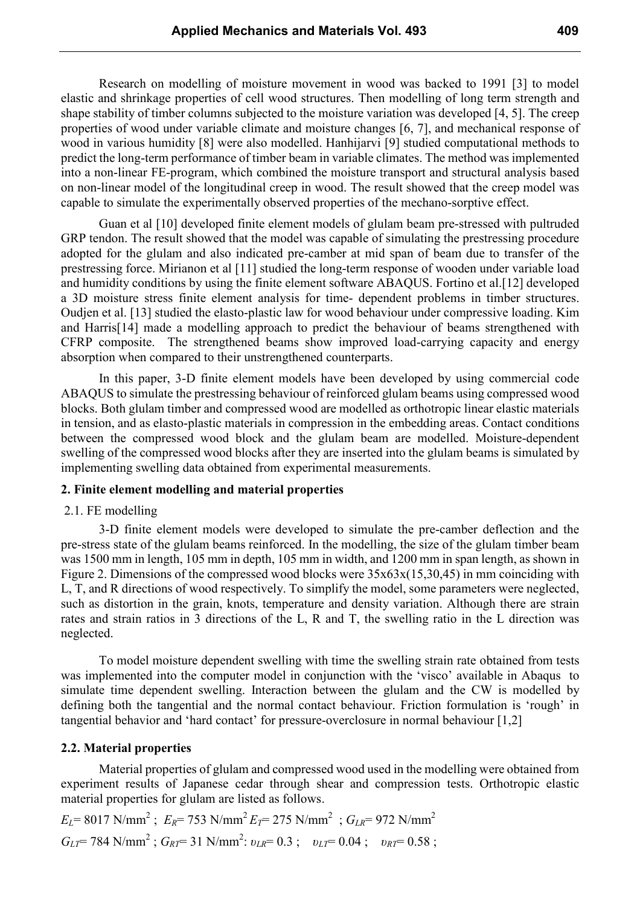Research on modelling of moisture movement in wood was backed to 1991 [3] to model elastic and shrinkage properties of cell wood structures. Then modelling of long term strength and shape stability of timber columns subjected to the moisture variation was developed [4, 5]. The creep properties of wood under variable climate and moisture changes [6, 7], and mechanical response of wood in various humidity [8] were also modelled. Hanhijarvi [9] studied computational methods to predict the long-term performance of timber beam in variable climates. The method was implemented into a non-linear FE-program, which combined the moisture transport and structural analysis based on non-linear model of the longitudinal creep in wood. The result showed that the creep model was capable to simulate the experimentally observed properties of the mechano-sorptive effect.

Guan et al [10] developed finite element models of glulam beam pre-stressed with pultruded GRP tendon. The result showed that the model was capable of simulating the prestressing procedure adopted for the glulam and also indicated pre-camber at mid span of beam due to transfer of the prestressing force. Mirianon et al [11] studied the long-term response of wooden under variable load and humidity conditions by using the finite element software ABAQUS. Fortino et al.[12] developed a 3D moisture stress finite element analysis for time- dependent problems in timber structures. Oudjen et al. [13] studied the elasto-plastic law for wood behaviour under compressive loading. Kim and Harris[14] made a modelling approach to predict the behaviour of beams strengthened with CFRP composite. The strengthened beams show improved load-carrying capacity and energy absorption when compared to their unstrengthened counterparts.

In this paper, 3-D finite element models have been developed by using commercial code ABAQUS to simulate the prestressing behaviour of reinforced glulam beams using compressed wood blocks. Both glulam timber and compressed wood are modelled as orthotropic linear elastic materials in tension, and as elasto-plastic materials in compression in the embedding areas. Contact conditions between the compressed wood block and the glulam beam are modelled. Moisture-dependent swelling of the compressed wood blocks after they are inserted into the glulam beams is simulated by implementing swelling data obtained from experimental measurements.

### **2. Finite element modelling and material properties**

#### 2.1. FE modelling

3-D finite element models were developed to simulate the pre-camber deflection and the pre-stress state of the glulam beams reinforced. In the modelling, the size of the glulam timber beam was 1500 mm in length, 105 mm in depth, 105 mm in width, and 1200 mm in span length, as shown in Figure 2. Dimensions of the compressed wood blocks were 35x63x(15,30,45) in mm coinciding with L, T, and R directions of wood respectively. To simplify the model, some parameters were neglected, such as distortion in the grain, knots, temperature and density variation. Although there are strain rates and strain ratios in 3 directions of the L, R and T, the swelling ratio in the L direction was neglected.

To model moisture dependent swelling with time the swelling strain rate obtained from tests was implemented into the computer model in conjunction with the 'visco' available in Abaqus to simulate time dependent swelling. Interaction between the glulam and the CW is modelled by defining both the tangential and the normal contact behaviour. Friction formulation is 'rough' in tangential behavior and 'hard contact' for pressure-overclosure in normal behaviour [1,2]

#### **2.2. Material properties**

Material properties of glulam and compressed wood used in the modelling were obtained from experiment results of Japanese cedar through shear and compression tests. Orthotropic elastic material properties for glulam are listed as follows.

 $E_L$ = 8017 N/mm<sup>2</sup>;  $E_R$ = 753 N/mm<sup>2</sup>  $E_T$ = 275 N/mm<sup>2</sup>;  $G_{LR}$ = 972 N/mm<sup>2</sup>  $G_{LT}$ = 784 N/mm<sup>2</sup>;  $G_{RT}$ = 31 N/mm<sup>2</sup>:  $v_{LR}$ = 0.3;  $v_{LT}$ = 0.04;  $v_{RT}$ = 0.58;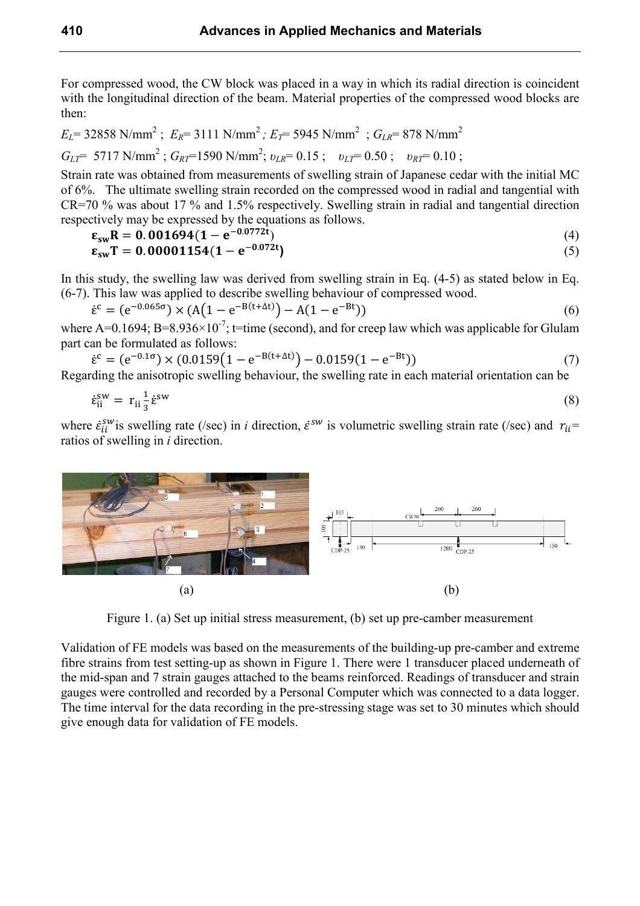For compressed wood, the CW block was placed in a way in which its radial direction is coincident with the longitudinal direction of the beam. Material properties of the compressed wood blocks are then:

$$
E_L
$$
= 32858 N/mm<sup>2</sup>;  $E_R$ = 3111 N/mm<sup>2</sup>;  $E_T$ = 5945 N/mm<sup>2</sup>;  $G_{LR}$ = 878 N/mm<sup>2</sup>

$$
G_{LT} = 5717 \text{ N/mm}^2; G_{RT} = 1590 \text{ N/mm}^2; v_{LR} = 0.15; v_{LT} = 0.50; v_{RT} = 0.10;
$$

Strain rate was obtained from measurements of swelling strain of Japanese cedar with the initial MC of 6%. The ultimate swelling strain recorded on the compressed wood in radial and tangential with CR=70 % was about 17 % and 1.5% respectively. Swelling strain in radial and tangential direction respectively may be expressed by the equations as follows.

$$
\epsilon_{sw}R = 0.001694(1 - e^{-0.0772t})
$$
  
\n
$$
\epsilon_{sw}T = 0.00001154(1 - e^{-0.072t})
$$
\n(4)

In this study, the swelling law was derived from swelling strain in Eq. (4-5) as stated below in Eq. (6-7). This law was applied to describe swelling behaviour of compressed wood.

$$
\dot{\varepsilon}^c = (e^{-0.065\sigma}) \times (A(1 - e^{-B(t + \Delta t)}) - A(1 - e^{-Bt}))
$$
\n(6)

where A=0.1694; B=8.936×10<sup>-7</sup>; t=time (second), and for creep law which was applicable for Glulam part can be formulated as follows:

$$
\dot{\varepsilon}^c = (e^{-0.1\sigma}) \times (0.0159(1 - e^{-B(t + \Delta t)}) - 0.0159(1 - e^{-Bt}))
$$
\n(7)

Regarding the anisotropic swelling behaviour, the swelling rate in each material orientation can be

$$
\dot{\varepsilon}_{\rm ii}^{\rm SW} = r_{\rm ii} \frac{1}{3} \dot{\varepsilon}^{\rm SW} \tag{8}
$$

where  $\dot{\varepsilon}_{ii}^{sw}$  is swelling rate (/sec) in *i* direction,  $\dot{\varepsilon}^{sw}$  is volumetric swelling strain rate (/sec) and  $r_{ii}$ = ratios of swelling in *i* direction.



Figure 1. (a) Set up initial stress measurement, (b) set up pre-camber measurement

Validation of FE models was based on the measurements of the building-up pre-camber and extreme fibre strains from test setting-up as shown in Figure 1. There were 1 transducer placed underneath of the mid-span and 7 strain gauges attached to the beams reinforced. Readings of transducer and strain gauges were controlled and recorded by a Personal Computer which was connected to a data logger. The time interval for the data recording in the pre-stressing stage was set to 30 minutes which should give enough data for validation of FE models.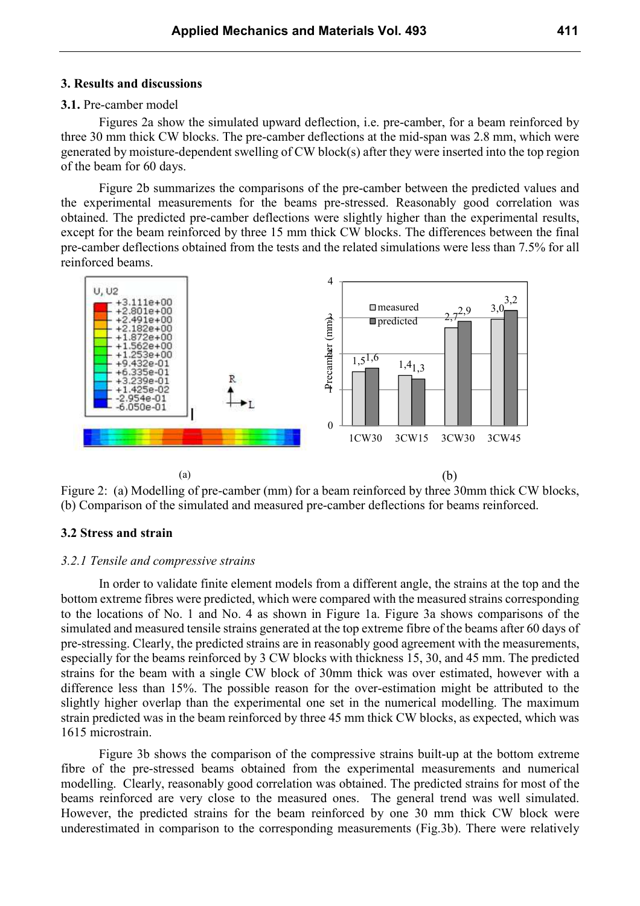#### **3. Results and discussions**

#### **3.1.** Pre-camber model

Figures 2a show the simulated upward deflection, i.e. pre-camber, for a beam reinforced by three 30 mm thick CW blocks. The pre-camber deflections at the mid-span was 2.8 mm, which were generated by moisture-dependent swelling of CW block(s) after they were inserted into the top region of the beam for 60 days.

Figure 2b summarizes the comparisons of the pre-camber between the predicted values and the experimental measurements for the beams pre-stressed. Reasonably good correlation was obtained. The predicted pre-camber deflections were slightly higher than the experimental results, except for the beam reinforced by three 15 mm thick CW blocks. The differences between the final pre-camber deflections obtained from the tests and the related simulations were less than 7.5% for all reinforced beams.





### **3.2 Stress and strain**

#### *3.2.1 Tensile and compressive strains*

In order to validate finite element models from a different angle, the strains at the top and the bottom extreme fibres were predicted, which were compared with the measured strains corresponding to the locations of No. 1 and No. 4 as shown in Figure 1a. Figure 3a shows comparisons of the simulated and measured tensile strains generated at the top extreme fibre of the beams after 60 days of pre-stressing. Clearly, the predicted strains are in reasonably good agreement with the measurements, especially for the beams reinforced by 3 CW blocks with thickness 15, 30, and 45 mm. The predicted strains for the beam with a single CW block of 30mm thick was over estimated, however with a difference less than 15%. The possible reason for the over-estimation might be attributed to the slightly higher overlap than the experimental one set in the numerical modelling. The maximum strain predicted was in the beam reinforced by three 45 mm thick CW blocks, as expected, which was 1615 microstrain.

Figure 3b shows the comparison of the compressive strains built-up at the bottom extreme fibre of the pre-stressed beams obtained from the experimental measurements and numerical modelling. Clearly, reasonably good correlation was obtained. The predicted strains for most of the beams reinforced are very close to the measured ones. The general trend was well simulated. However, the predicted strains for the beam reinforced by one 30 mm thick CW block were underestimated in comparison to the corresponding measurements (Fig.3b). There were relatively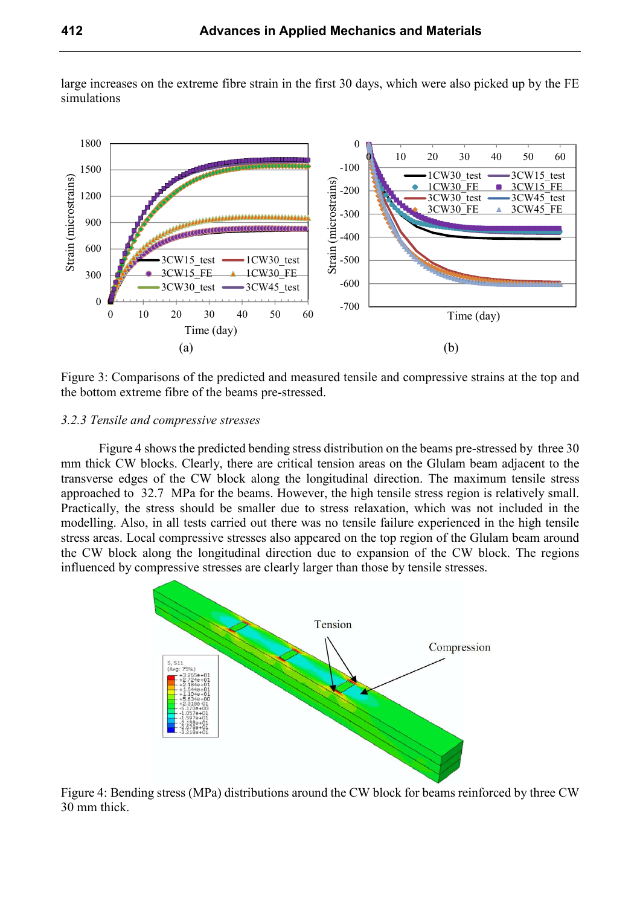

large increases on the extreme fibre strain in the first 30 days, which were also picked up by the FE simulations

Figure 3: Comparisons of the predicted and measured tensile and compressive strains at the top and the bottom extreme fibre of the beams pre-stressed.

### *3.2.3 Tensile and compressive stresses*

Figure 4 shows the predicted bending stress distribution on the beams pre-stressed by three 30 mm thick CW blocks. Clearly, there are critical tension areas on the Glulam beam adjacent to the transverse edges of the CW block along the longitudinal direction. The maximum tensile stress approached to 32.7 MPa for the beams. However, the high tensile stress region is relatively small. Practically, the stress should be smaller due to stress relaxation, which was not included in the modelling. Also, in all tests carried out there was no tensile failure experienced in the high tensile stress areas. Local compressive stresses also appeared on the top region of the Glulam beam around the CW block along the longitudinal direction due to expansion of the CW block. The regions influenced by compressive stresses are clearly larger than those by tensile stresses.



Figure 4: Bending stress (MPa) distributions around the CW block for beams reinforced by three CW 30 mm thick.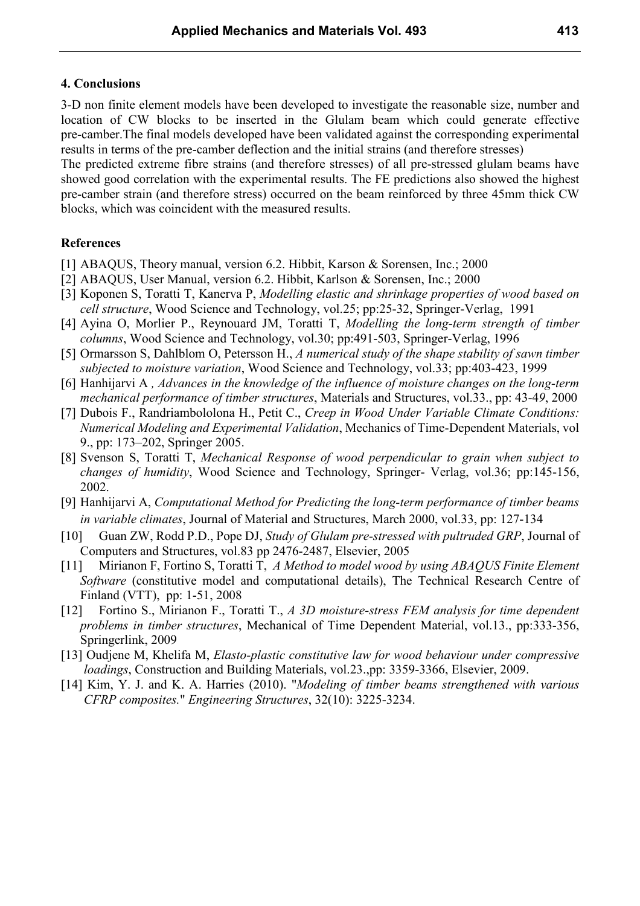#### **4. Conclusions**

3-D non finite element models have been developed to investigate the reasonable size, number and location of CW blocks to be inserted in the Glulam beam which could generate effective pre-camber.The final models developed have been validated against the corresponding experimental results in terms of the pre-camber deflection and the initial strains (and therefore stresses)

The predicted extreme fibre strains (and therefore stresses) of all pre-stressed glulam beams have showed good correlation with the experimental results. The FE predictions also showed the highest pre-camber strain (and therefore stress) occurred on the beam reinforced by three 45mm thick CW blocks, which was coincident with the measured results.

### **References**

- [1] ABAQUS, Theory manual, version 6.2. Hibbit, Karson & Sorensen, Inc.; 2000
- [2] ABAQUS, User Manual, version 6.2. Hibbit, Karlson & Sorensen, Inc.; 2000
- [3] Koponen S, Toratti T, Kanerva P, *Modelling elastic and shrinkage properties of wood based on cell structure*, Wood Science and Technology, vol.25; pp:25-32, Springer-Verlag, 1991
- [4] Ayina O, Morlier P., Reynouard JM, Toratti T, *Modelling the long-term strength of timber columns*, Wood Science and Technology, vol.30; pp:491-503, Springer-Verlag, 1996
- [5] Ormarsson S, Dahlblom O, Petersson H., *A numerical study of the shape stability of sawn timber subjected to moisture variation*, Wood Science and Technology, vol.33; pp:403-423, 1999
- [6] Hanhijarvi A *, Advances in the knowledge of the influence of moisture changes on the long-term mechanical performance of timber structures*, Materials and Structures, vol.33., pp: 43-4*9*, 2000
- [7] Dubois F., Randriambololona H., Petit C., *Creep in Wood Under Variable Climate Conditions: Numerical Modeling and Experimental Validation*, Mechanics of Time-Dependent Materials, vol 9., pp: 173–202, Springer 2005.
- [8] Svenson S, Toratti T, *Mechanical Response of wood perpendicular to grain when subject to changes of humidity*, Wood Science and Technology, Springer- Verlag, vol.36; pp:145-156, 2002.
- [9] Hanhijarvi A, *Computational Method for Predicting the long-term performance of timber beams in variable climates*, Journal of Material and Structures, March 2000, vol.33, pp: 127-134
- [10] Guan ZW, Rodd P.D., Pope DJ, *Study of Glulam pre-stressed with pultruded GRP*, Journal of Computers and Structures, vol.83 pp 2476-2487, Elsevier, 2005
- [11] Mirianon F, Fortino S, Toratti T, *A Method to model wood by using ABAQUS Finite Element Software* (constitutive model and computational details), The Technical Research Centre of Finland (VTT), pp: 1-51, 2008
- [12] Fortino S., Mirianon F., Toratti T., *A 3D moisture-stress FEM analysis for time dependent problems in timber structures*, Mechanical of Time Dependent Material, vol.13., pp:333-356, Springerlink, 2009
- [13] Oudjene M, Khelifa M, *Elasto-plastic constitutive law for wood behaviour under compressive loadings*, Construction and Building Materials, vol.23.,pp: 3359-3366, Elsevier, 2009.
- [14] Kim, Y. J. and K. A. Harries (2010). "*Modeling of timber beams strengthened with various CFRP composites.*" *Engineering Structures*, 32(10): 3225-3234.